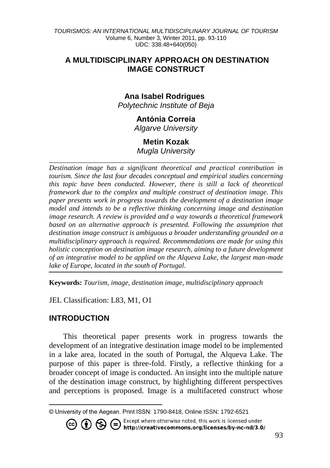## **A MULTIDISCIPLINARY APPROACH ON DESTINATION IMAGE CONSTRUCT**

# **Ana Isabel Rodrigues<sup>1</sup>**

*Polytechnic Institute of Beja*

# **Antónia Correia**

*Algarve University*

# **Metin Kozak**

*Mugla University \_\_\_\_\_\_\_\_\_\_\_\_\_\_\_\_\_\_\_\_\_\_\_\_\_\_\_\_\_\_\_\_\_\_\_\_\_\_\_\_\_\_\_\_\_\_\_\_\_\_\_\_\_\_\_\_\_\_\_\_\_\_\_\_*

*Destination image has a significant theoretical and practical contribution in tourism. Since the last four decades conceptual and empirical studies concerning this topic have been conducted. However, there is still a lack of theoretical framework due to the complex and multiple construct of destination image. This paper presents work in progress towards the development of a destination image model and intends to be a reflective thinking concerning image and destination image research. A review is provided and a way towards a theoretical framework based on an alternative approach is presented. Following the assumption that destination image construct is ambiguous a broader understanding grounded on a multidisciplinary approach is required. Recommendations are made for using this holistic conception on destination image research, aiming to a future development of an integrative model to be applied on the Alqueva Lake, the largest man-made lake of Europe, located in the south of Portugal.*

**Keywords:** *Tourism, image, destination image, multidisciplinary approach*

JEL Classification: L83, M1, O1

# **INTRODUCTION**

l

This theoretical paper presents work in progress towards the development of an integrative destination image model to be implemented in a lake area, located in the south of Portugal, the Alqueva Lake. The purpose of this paper is three-fold. Firstly, a reflective thinking for a broader concept of image is conducted. An insight into the multiple nature of the destination image construct, by highlighting different perspectives and perceptions is proposed. Image is a multifaceted construct whose

Except where otherwise noted, this work is licensed under

http://creativecommons.org/licenses/by-nc-nd/3.0/

<sup>©</sup> University of the Aegean. Print ISSN: 1790-8418, Online ISSN: 1792-6521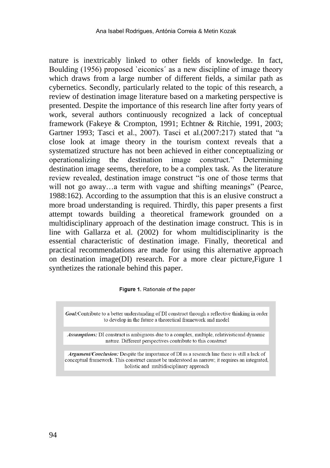nature is inextricably linked to other fields of knowledge. In fact, Boulding (1956) proposed `eiconics´ as a new discipline of image theory which draws from a large number of different fields, a similar path as cybernetics. Secondly, particularly related to the topic of this research, a review of destination image literature based on a marketing perspective is presented. Despite the importance of this research line after forty years of work, several authors continuously recognized a lack of conceptual framework (Fakeye & Crompton, 1991; Echtner & Ritchie, 1991, 2003; Gartner 1993; Tasci et al., 2007). Tasci et al.(2007:217) stated that "a close look at image theory in the tourism context reveals that a systematized structure has not been achieved in either conceptualizing or operationalizing the destination image construct." Determining destination image seems, therefore, to be a complex task. As the literature review revealed, destination image construct "is one of those terms that will not go away...a term with vague and shifting meanings" (Pearce, 1988:162). According to the assumption that this is an elusive construct a more broad understanding is required. Thirdly, this paper presents a first attempt towards building a theoretical framework grounded on a multidisciplinary approach of the destination image construct. This is in line with Gallarza et al. (2002) for whom multidisciplinarity is the essential characteristic of destination image. Finally, theoretical and practical recommendations are made for using this alternative approach on destination image(DI) research. For a more clear picture,Figure 1 synthetizes the rationale behind this paper.

Figure 1. Rationale of the paper

**Goal:**Contribute to a better understanding of DI construct through a reflective thinking in order to develop in the future a theoretical framework and model

Assumptions: DI construct is ambiguous due to a complex, multiple, relativisticand dynamic nature. Different perspectives contribute to this construct

Argument/Conclusion: Despite the importance of DI as a research line there is still a lack of conceptual framework. This construct cannot be understood as narrow; it requires an integrated, holistic and multidisciplinary approach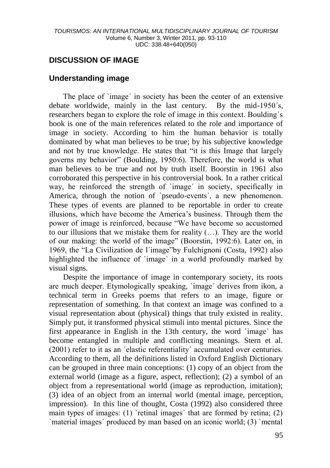# **DISCUSSION OF IMAGE**

## **Understanding image**

The place of `image´ in society has been the center of an extensive debate worldwide, mainly in the last century. By the mid-1950´s, researchers began to explore the role of image in this context. Boulding´s book is one of the main references related to the role and importance of image in society. According to him the human behavior is totally dominated by what man believes to be true; by his subjective knowledge and not by true knowledge. He states that "it is this Image that largely governs my behavior" (Boulding, 1950:6). Therefore, the world is what man believes to be true and not by truth itself. Boorstin in 1961 also corroborated this perspective in his controversial book. In a rather critical way, he reinforced the strength of 'image' in society, specifically in America, through the notion of `pseudo-events´, a new phenomenon. These types of events are planned to be reportable in order to create illusions, which have become the America's business. Through them the power of image is reinforced, because "We have become so accustomed to our illusions that we mistake them for reality (…). They are the world of our making: the world of the image" (Boorstin, 1992:6). Later on, in 1969, the "La Civilization de l´image"by Fulchignoni (Costa, 1992) also highlighted the influence of `image' in a world profoundly marked by visual signs.

Despite the importance of image in contemporary society, its roots are much deeper. Etymologically speaking, `image´ derives from ikon, a technical term in Greeks poems that refers to an image, figure or representation of something. In that context an image was confined to a visual representation about (physical) things that truly existed in reality. Simply put, it transformed physical stimuli into mental pictures. Since the first appearance in English in the 13th century, the word `image´ has become entangled in multiple and conflicting meanings. Stern et al. (2001) refer to it as an ´elastic referentiality´ accumulated over centuries. According to them, all the definitions listed in Oxford English Dictionary can be grouped in three main conceptions: (1) copy of an object from the external world (image as a figure, aspect, reflection); (2) a symbol of an object from a representational world (image as reproduction, imitation); (3) idea of an object from an internal world (mental image, perception, impression). In this line of thought, Costa (1992) also considered three main types of images: (1) `retinal images' that are formed by retina; (2) `material images´ produced by man based on an iconic world; (3) `mental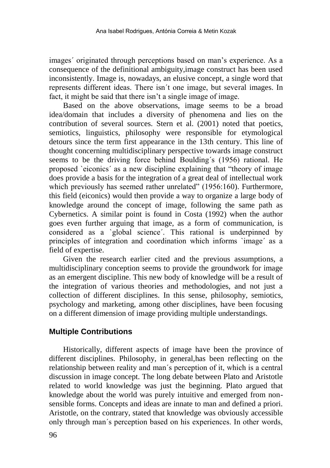images´ originated through perceptions based on man's experience. As a consequence of the definitional ambiguity,image construct has been used inconsistently. Image is, nowadays, an elusive concept, a single word that represents different ideas. There isn´t one image, but several images. In fact, it might be said that there isn't a single image of image.

Based on the above observations, image seems to be a broad idea/domain that includes a diversity of phenomena and lies on the contribution of several sources. Stern et al. (2001) noted that poetics, semiotics, linguistics, philosophy were responsible for etymological detours since the term first appearance in the 13th century. This line of thought concerning multidisciplinary perspective towards image construct seems to be the driving force behind Boulding´s (1956) rational. He proposed `eiconics´ as a new discipline explaining that "theory of image does provide a basis for the integration of a great deal of intellectual work which previously has seemed rather unrelated" (1956:160). Furthermore, this field (eiconics) would then provide a way to organize a large body of knowledge around the concept of image, following the same path as Cybernetics. A similar point is found in Costa (1992) when the author goes even further arguing that image, as a form of communication, is considered as a `global science´. This rational is underpinned by principles of integration and coordination which informs `image´ as a field of expertise.

Given the research earlier cited and the previous assumptions, a multidisciplinary conception seems to provide the groundwork for image as an emergent discipline. This new body of knowledge will be a result of the integration of various theories and methodologies, and not just a collection of different disciplines. In this sense, philosophy, semiotics, psychology and marketing, among other disciplines, have been focusing on a different dimension of image providing multiple understandings.

### **Multiple Contributions**

Historically, different aspects of image have been the province of different disciplines. Philosophy, in general,has been reflecting on the relationship between reality and man´s perception of it, which is a central discussion in image concept. The long debate between Plato and Aristotle related to world knowledge was just the beginning. Plato argued that knowledge about the world was purely intuitive and emerged from nonsensible forms. Concepts and ideas are innate to man and defined a priori. Aristotle, on the contrary, stated that knowledge was obviously accessible only through man´s perception based on his experiences. In other words,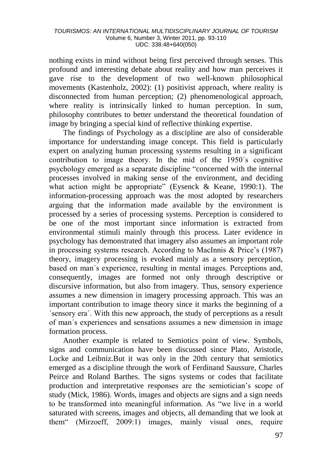nothing exists in mind without being first perceived through senses. This profound and interesting debate about reality and how man perceives it gave rise to the development of two well-known philosophical movements (Kastenholz, 2002): (1) positivist approach, where reality is disconnected from human perception; (2) phenomenological approach, where reality is intrinsically linked to human perception. In sum, philosophy contributes to better understand the theoretical foundation of image by bringing a special kind of reflective thinking expertise.

The findings of Psychology as a discipline are also of considerable importance for understanding image concept. This field is particularly expert on analyzing human processing systems resulting in a significant contribution to image theory. In the mid of the 1950´s cognitive psychology emerged as a separate discipline "concerned with the internal processes involved in making sense of the environment, and deciding what action might be appropriate" (Eysenck & Keane, 1990:1). The information-processing approach was the most adopted by researchers arguing that the information made available by the environment is processed by a series of processing systems. Perception is considered to be one of the most important since information is extracted from environmental stimuli mainly through this process. Later evidence in psychology has demonstrated that imagery also assumes an important role in processing systems research. According to MacInnis & Price's (1987) theory, imagery processing is evoked mainly as a sensory perception, based on man´s experience, resulting in mental images. Perceptions and, consequently, images are formed not only through descriptive or discursive information, but also from imagery. Thus, sensory experience assumes a new dimension in imagery processing approach. This was an important contribution to image theory since it marks the beginning of a ´sensory era´. With this new approach, the study of perceptions as a result of man´s experiences and sensations assumes a new dimension in image formation process.

Another example is related to Semiotics point of view. Symbols, signs and communication have been discussed since Plato, Aristotle, Locke and Leibniz.But it was only in the 20th century that semiotics emerged as a discipline through the work of Ferdinand Saussure, Charles Peirce and Roland Barthes. The signs systems or codes that facilitate production and interpretative responses are the semiotician's scope of study (Mick, 1986). Words, images and objects are signs and a sign needs to be transformed into meaningful information. As "we live in a world saturated with screens, images and objects, all demanding that we look at them" (Mirzoeff, 2009:1) images, mainly visual ones, require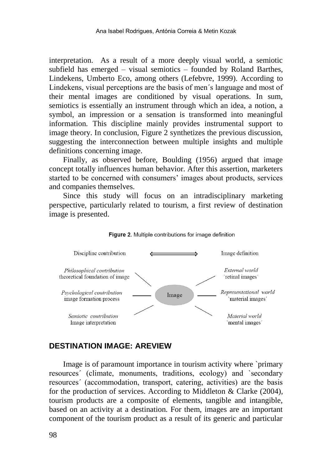interpretation. As a result of a more deeply visual world, a semiotic subfield has emerged – visual semiotics – founded by Roland Barthes, Lindekens, Umberto Eco, among others (Lefebvre, 1999). According to Lindekens, visual perceptions are the basis of men´s language and most of their mental images are conditioned by visual operations. In sum, semiotics is essentially an instrument through which an idea, a notion, a symbol, an impression or a sensation is transformed into meaningful information. This discipline mainly provides instrumental support to image theory. In conclusion, Figure 2 synthetizes the previous discussion, suggesting the interconnection between multiple insights and multiple definitions concerning image.

Finally, as observed before, Boulding (1956) argued that image concept totally influences human behavior. After this assertion, marketers started to be concerned with consumers' images about products, services and companies themselves.

Since this study will focus on an intradisciplinary marketing perspective, particularly related to tourism, a first review of destination image is presented.





## **DESTINATION IMAGE: AREVIEW**

Image is of paramount importance in tourism activity where `primary resources´ (climate, monuments, traditions, ecology) and `secondary resources´ (accommodation, transport, catering, activities) are the basis for the production of services. According to Middleton & Clarke (2004), tourism products are a composite of elements, tangible and intangible, based on an activity at a destination. For them, images are an important component of the tourism product as a result of its generic and particular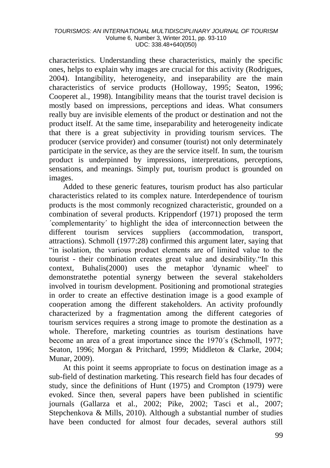#### *TOURISMOS: AN INTERNATIONAL MULTIDISCIPLINARY JOURNAL OF TOURISM* Volume 6, Number 3, Winter 2011, pp. 93-110 UDC: 338.48+640(050)

characteristics. Understanding these characteristics, mainly the specific ones, helps to explain why images are crucial for this activity (Rodrigues, 2004). Intangibility, heterogeneity, and inseparability are the main characteristics of service products (Holloway, 1995; Seaton, 1996; Cooperet al., 1998). Intangibility means that the tourist travel decision is mostly based on impressions, perceptions and ideas. What consumers really buy are invisible elements of the product or destination and not the product itself. At the same time, inseparability and heterogeneity indicate that there is a great subjectivity in providing tourism services. The producer (service provider) and consumer (tourist) not only determinately participate in the service, as they are the service itself. In sum, the tourism product is underpinned by impressions, interpretations, perceptions, sensations, and meanings. Simply put, tourism product is grounded on images.

Added to these generic features, tourism product has also particular characteristics related to its complex nature. Interdependence of tourism products is the most commonly recognized characteristic, grounded on a combination of several products. Krippendorf (1971) proposed the term ´complementarity´ to highlight the idea of interconnection between the different tourism services suppliers (accommodation, transport, attractions). Schmoll (1977:28) confirmed this argument later, saying that "in isolation, the various product elements are of limited value to the tourist - their combination creates great value and desirability."In this  $context.$  Buhalis $(2000)$  uses the metaphor 'dynamic wheel' demonstratethe potential synergy between the several stakeholders involved in tourism development. Positioning and promotional strategies in order to create an effective destination image is a good example of cooperation among the different stakeholders. An activity profoundly characterized by a fragmentation among the different categories of tourism services requires a strong image to promote the destination as a whole. Therefore, marketing countries as tourism destinations have become an area of a great importance since the 1970´s (Schmoll, 1977; Seaton, 1996; Morgan & Pritchard, 1999; Middleton & Clarke, 2004; Munar, 2009).

At this point it seems appropriate to focus on destination image as a sub-field of destination marketing. This research field has four decades of study, since the definitions of Hunt (1975) and Crompton (1979) were evoked. Since then, several papers have been published in scientific journals (Gallarza et al., 2002; Pike, 2002; Tasci et al., 2007; Stepchenkova & Mills, 2010). Although a substantial number of studies have been conducted for almost four decades, several authors still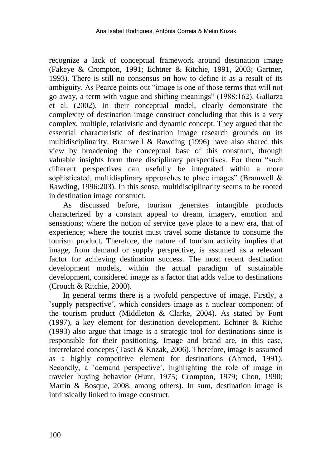recognize a lack of conceptual framework around destination image (Fakeye & Crompton, 1991; Echtner & Ritchie, 1991, 2003; Gartner, 1993). There is still no consensus on how to define it as a result of its ambiguity. As Pearce points out "image is one of those terms that will not go away, a term with vague and shifting meanings" (1988:162). Gallarza et al. (2002), in their conceptual model, clearly demonstrate the complexity of destination image construct concluding that this is a very complex, multiple, relativistic and dynamic concept. They argued that the essential characteristic of destination image research grounds on its multidisciplinarity. Bramwell & Rawding (1996) have also shared this view by broadening the conceptual base of this construct, through valuable insights form three disciplinary perspectives. For them "such different perspectives can usefully be integrated within a more sophisticated, multidisplinary approaches to place images" (Bramwell  $\&$ Rawding, 1996:203). In this sense, multidisciplinarity seems to be rooted in destination image construct.

As discussed before, tourism generates intangible products characterized by a constant appeal to dream, imagery, emotion and sensations; where the notion of service gave place to a new era, that of experience; where the tourist must travel some distance to consume the tourism product. Therefore, the nature of tourism activity implies that image, from demand or supply perspective, is assumed as a relevant factor for achieving destination success. The most recent destination development models, within the actual paradigm of sustainable development, considered image as a factor that adds value to destinations (Crouch & Ritchie, 2000).

In general terms there is a twofold perspective of image. Firstly, a `supply perspective´, which considers image as a nuclear component of the tourism product (Middleton & Clarke, 2004). As stated by Font (1997), a key element for destination development. Echtner & Richie (1993) also argue that image is a strategic tool for destinations since is responsible for their positioning. Image and brand are, in this case, interrelated concepts (Tasci & Kozak, 2006). Therefore, image is assumed as a highly competitive element for destinations (Ahmed, 1991). Secondly, a `demand perspective´, highlighting the role of image in traveler buying behavior (Hunt, 1975; Crompton, 1979; Chon, 1990; Martin & Bosque, 2008, among others). In sum, destination image is intrinsically linked to image construct.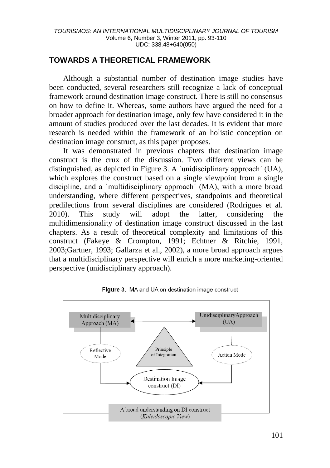# **TOWARDS A THEORETICAL FRAMEWORK**

Although a substantial number of destination image studies have been conducted, several researchers still recognize a lack of conceptual framework around destination image construct. There is still no consensus on how to define it. Whereas, some authors have argued the need for a broader approach for destination image, only few have considered it in the amount of studies produced over the last decades. It is evident that more research is needed within the framework of an holistic conception on destination image construct, as this paper proposes.

It was demonstrated in previous chapters that destination image construct is the crux of the discussion. Two different views can be distinguished, as depicted in Figure 3. A `unidisciplinary approach´ (UA), which explores the construct based on a single viewpoint from a single discipline, and a `multidisciplinary approach´ (MA), with a more broad understanding, where different perspectives, standpoints and theoretical predilections from several disciplines are considered (Rodrigues et al. 2010). This study will adopt the latter, considering the multidimensionality of destination image construct discussed in the last chapters. As a result of theoretical complexity and limitations of this construct (Fakeye & Crompton, 1991; Echtner & Ritchie, 1991, 2003;Gartner, 1993; Gallarza et al., 2002), a more broad approach argues that a multidisciplinary perspective will enrich a more marketing-oriented perspective (unidisciplinary approach).



Figure 3. MA and UA on destination image construct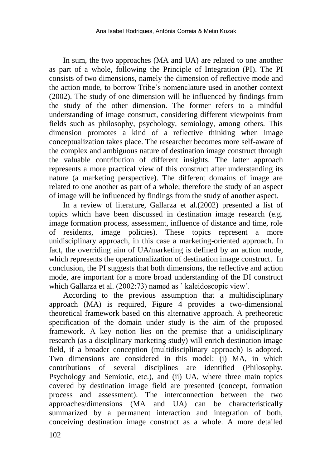In sum, the two approaches (MA and UA) are related to one another as part of a whole, following the Principle of Integration (PI). The PI consists of two dimensions, namely the dimension of reflective mode and the action mode, to borrow Tribe´s nomenclature used in another context (2002). The study of one dimension will be influenced by findings from the study of the other dimension. The former refers to a mindful understanding of image construct, considering different viewpoints from fields such as philosophy, psychology, semiology, among others. This dimension promotes a kind of a reflective thinking when image conceptualization takes place. The researcher becomes more self-aware of the complex and ambiguous nature of destination image construct through the valuable contribution of different insights. The latter approach represents a more practical view of this construct after understanding its nature (a marketing perspective). The different domains of image are related to one another as part of a whole; therefore the study of an aspect of image will be influenced by findings from the study of another aspect.

In a review of literature, Gallarza et al.(2002) presented a list of topics which have been discussed in destination image research (e.g. image formation process, assessment, influence of distance and time, role of residents, image policies). These topics represent a more unidisciplinary approach, in this case a marketing-oriented approach. In fact, the overriding aim of UA/marketing is defined by an action mode, which represents the operationalization of destination image construct. In conclusion, the PI suggests that both dimensions, the reflective and action mode, are important for a more broad understanding of the DI construct which Gallarza et al. (2002:73) named as ` kaleidoscopic view´.

According to the previous assumption that a multidisciplinary approach  $(MA)$  is required, Figure 4 provides a two-dimensional theoretical framework based on this alternative approach. A pretheoretic specification of the domain under study is the aim of the proposed framework. A key notion lies on the premise that a unidisciplinary research (as a disciplinary marketing study) will enrich destination image field, if a broader conception (multidisciplinary approach) is adopted. Two dimensions are considered in this model: (i) MA, in which contributions of several disciplines are identified (Philosophy, Psychology and Semiotic, etc.), and (ii) UA, where three main topics covered by destination image field are presented (concept, formation process and assessment). The interconnection between the two approaches/dimensions (MA and UA) can be characteristically summarized by a permanent interaction and integration of both, conceiving destination image construct as a whole. A more detailed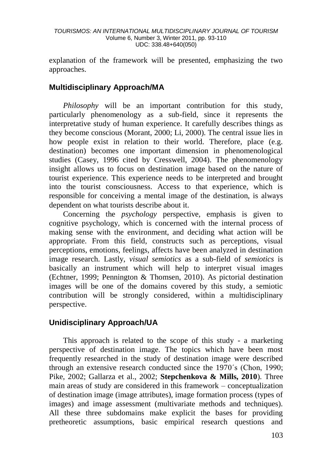explanation of the framework will be presented, emphasizing the two approaches.

# **Multidisciplinary Approach/MA**

*Philosophy* will be an important contribution for this study, particularly phenomenology as a sub-field, since it represents the interpretative study of human experience. It carefully describes things as they become conscious (Morant, 2000; Li, 2000). The central issue lies in how people exist in relation to their world. Therefore, place (e.g. destination) becomes one important dimension in phenomenological studies (Casey, 1996 cited by Cresswell, 2004). The phenomenology insight allows us to focus on destination image based on the nature of tourist experience. This experience needs to be interpreted and brought into the tourist consciousness. Access to that experience, which is responsible for conceiving a mental image of the destination, is always dependent on what tourists describe about it.

Concerning the *psychology* perspective, emphasis is given to cognitive psychology, which is concerned with the internal process of making sense with the environment, and deciding what action will be appropriate. From this field, constructs such as perceptions, visual perceptions, emotions, feelings, affects have been analyzed in destination image research. Lastly, *visual semiotics* as a sub-field of *semiotics* is basically an instrument which will help to interpret visual images (Echtner, 1999; Pennington & Thomsen, 2010). As pictorial destination images will be one of the domains covered by this study, a semiotic contribution will be strongly considered, within a multidisciplinary perspective.

# **Unidisciplinary Approach/UA**

This approach is related to the scope of this study - a marketing perspective of destination image. The topics which have been most frequently researched in the study of destination image were described through an extensive research conducted since the 1970´s (Chon, 1990; Pike, 2002; Gallarza et al., 2002; **Stepchenkova & Mills, 2010**). Three main areas of study are considered in this framework – conceptualization of destination image (image attributes), image formation process (types of images) and image assessment (multivariate methods and techniques). All these three subdomains make explicit the bases for providing pretheoretic assumptions, basic empirical research questions and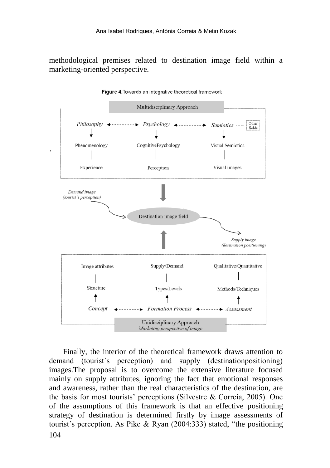methodological premises related to destination image field within a marketing-oriented perspective.

![](_page_11_Figure_2.jpeg)

Figure 4. Towards an integrative theoretical framework

104 Finally, the interior of the theoretical framework draws attention to demand (tourist´s perception) and supply (destinationpositioning) images.The proposal is to overcome the extensive literature focused mainly on supply attributes, ignoring the fact that emotional responses and awareness, rather than the real characteristics of the destination, are the basis for most tourists' perceptions (Silvestre & Correia, 2005). One of the assumptions of this framework is that an effective positioning strategy of destination is determined firstly by image assessments of tourist´s perception. As Pike & Ryan (2004:333) stated, "the positioning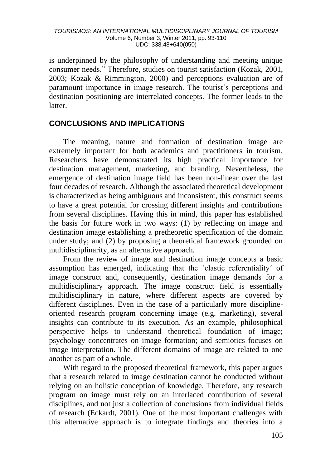#### *TOURISMOS: AN INTERNATIONAL MULTIDISCIPLINARY JOURNAL OF TOURISM* Volume 6, Number 3, Winter 2011, pp. 93-110 UDC: 338.48+640(050)

is underpinned by the philosophy of understanding and meeting unique consumer needs." Therefore, studies on tourist satisfaction (Kozak, 2001, 2003; Kozak & Rimmington, 2000) and perceptions evaluation are of paramount importance in image research. The tourist´s perceptions and destination positioning are interrelated concepts. The former leads to the latter.

### **CONCLUSIONS AND IMPLICATIONS**

The meaning, nature and formation of destination image are extremely important for both academics and practitioners in tourism. Researchers have demonstrated its high practical importance for destination management, marketing, and branding. Nevertheless, the emergence of destination image field has been non-linear over the last four decades of research. Although the associated theoretical development is characterized as being ambiguous and inconsistent, this construct seems to have a great potential for crossing different insights and contributions from several disciplines. Having this in mind, this paper has established the basis for future work in two ways: (1) by reflecting on image and destination image establishing a pretheoretic specification of the domain under study; and (2) by proposing a theoretical framework grounded on multidisciplinarity, as an alternative approach.

From the review of image and destination image concepts a basic assumption has emerged, indicating that the `elastic referentiality´ of image construct and, consequently, destination image demands for a multidisciplinary approach. The image construct field is essentially multidisciplinary in nature, where different aspects are covered by different disciplines. Even in the case of a particularly more disciplineoriented research program concerning image (e.g. marketing), several insights can contribute to its execution. As an example, philosophical perspective helps to understand theoretical foundation of image; psychology concentrates on image formation; and semiotics focuses on image interpretation. The different domains of image are related to one another as part of a whole.

With regard to the proposed theoretical framework, this paper argues that a research related to image destination cannot be conducted without relying on an holistic conception of knowledge. Therefore, any research program on image must rely on an interlaced contribution of several disciplines, and not just a collection of conclusions from individual fields of research (Eckardt, 2001). One of the most important challenges with this alternative approach is to integrate findings and theories into a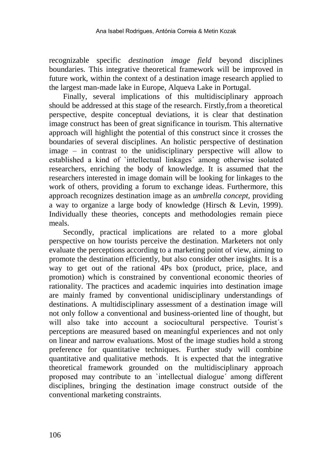recognizable specific *destination image field* beyond disciplines boundaries. This integrative theoretical framework will be improved in future work, within the context of a destination image research applied to the largest man-made lake in Europe, Alqueva Lake in Portugal.

Finally, several implications of this multidisciplinary approach should be addressed at this stage of the research. Firstly,from a theoretical perspective, despite conceptual deviations, it is clear that destination image construct has been of great significance in tourism. This alternative approach will highlight the potential of this construct since it crosses the boundaries of several disciplines. An holistic perspective of destination image – in contrast to the unidisciplinary perspective will allow to established a kind of `intellectual linkages´ among otherwise isolated researchers, enriching the body of knowledge. It is assumed that the researchers interested in image domain will be looking for linkages to the work of others, providing a forum to exchange ideas. Furthermore, this approach recognizes destination image as an *umbrella concept*, providing a way to organize a large body of knowledge (Hirsch & Levin, 1999). Individually these theories, concepts and methodologies remain piece meals.

Secondly, practical implications are related to a more global perspective on how tourists perceive the destination. Marketers not only evaluate the perceptions according to a marketing point of view, aiming to promote the destination efficiently, but also consider other insights. It is a way to get out of the rational 4Ps box (product, price, place, and promotion) which is constrained by conventional economic theories of rationality. The practices and academic inquiries into destination image are mainly framed by conventional unidisciplinary understandings of destinations. A multidisciplinary assessment of a destination image will not only follow a conventional and business-oriented line of thought, but will also take into account a sociocultural perspective. Tourist's perceptions are measured based on meaningful experiences and not only on linear and narrow evaluations. Most of the image studies hold a strong preference for quantitative techniques. Further study will combine quantitative and qualitative methods. It is expected that the integrative theoretical framework grounded on the multidisciplinary approach proposed may contribute to an `intellectual dialogue´ among different disciplines, bringing the destination image construct outside of the conventional marketing constraints.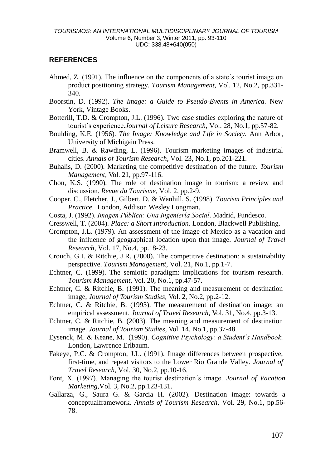### **REFERENCES**

- Ahmed, Z. (1991). The influence on the components of a state´s tourist image on product positioning strategy. *Tourism Management*, Vol. 12, No.2, pp.331- 340.
- Boorstin, D. (1992). *The Image: a Guide to Pseudo-Events in America.* New York, Vintage Books.
- Botterill, T.D. & Crompton, J.L. (1996). Two case studies exploring the nature of tourist´s experience.*Journal of Leisure Research*, Vol. 28, No.1, pp.57-82.
- Boulding, K.E. (1956). *The Image: Knowledge and Life in Society.* Ann Arbor, University of Michigain Press.
- Bramwell, B. & Rawding, L. (1996). Tourism marketing images of industrial cities. *Annals of Tourism Research*, Vol. 23, No.1, pp.201-221.
- Buhalis, D. (2000). Marketing the competitive destination of the future. *Tourism Management,* Vol. 21, pp.97-116.
- Chon, K.S. (1990). The role of destination image in tourism: a review and discussion. *Revue du Tourisme*, Vol. 2, pp.2-9.
- Cooper, C., Fletcher, J., Gilbert, D. & Wanhill, S. (1998). *Tourism Principles and Practice*. London, Addison Wesley Longman.
- Costa, J. (1992). *Imagen Pública: Una Ingeniería Social*. Madrid, Fundesco.
- Cresswell, T. (2004). *Place: a Short Introduction*. London, Blackwell Publishing.
- Crompton, J.L. (1979). An assessment of the image of Mexico as a vacation and the influence of geographical location upon that image*. Journal of Travel Research*, Vol. 17, No.4, pp.18-23.
- Crouch, G.I. & Ritchie, J.R. (2000). The competitive destination: a sustainability perspective. *Tourism Management*, Vol. 21, No.1, pp.1-7.
- Echtner, C. (1999). The semiotic paradigm: implications for tourism research. *Tourism Management*, Vol. 20, No.1, pp.47-57.
- Echtner, C. & Ritchie, B. (1991). The meaning and measurement of destination image, *Journal of Tourism Studies,* Vol. 2, No.2, pp.2-12.
- Echtner, C. & Ritchie, B. (1993). The measurement of destination image: an empirical assessment. *Journal of Travel Research,* Vol. 31, No.4, pp.3-13.
- Echtner, C. & Ritchie, B. (2003). The meaning and measurement of destination image. *Journal of Tourism Studies*, Vol. 14, No.1, pp.37-48.
- Eysenck, M. & Keane, M. (1990). *Cognitive Psychology: a Student´s Handbook.* London, Lawrence Erlbaum.
- Fakeye, P.C. & Crompton, J.L. (1991). Image differences between prospective, first-time, and repeat visitors to the Lower Rio Grande Valley. *Journal of Travel Research,* Vol. 30, No.2, pp.10-16.
- Font, X. (1997). Managing the tourist destination´s image. *Journal of Vacation Marketing*,Vol. 3, No.2, pp.123-131.
- Gallarza, G., Saura G. & Garcia H. (2002). Destination image: towards a conceptualframework. *Annals of Tourism Research,* Vol. 29, No.1, pp.56- 78.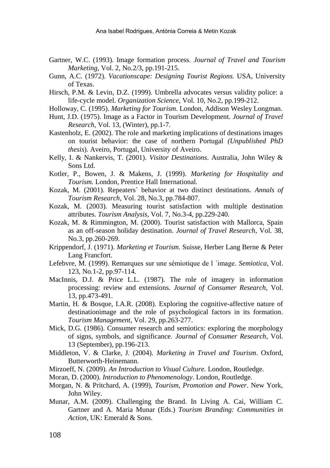- Gartner, W.C. (1993). Image formation process. *Journal of Travel and Tourism Marketing*, Vol. 2, No.2/3, pp.191-215.
- Gunn, A.C. (1972). *Vacationscape: Designing Tourist Regions.* USA, University of Texas.
- Hirsch, P.M. & Levin, D.Z. (1999). Umbrella advocates versus validity police: a life-cycle model. *Organization Science*, Vol. 10, No.2, pp.199-212.
- Holloway, C. (1995). *Marketing for Tourism*. London, Addison Wesley Longman.
- Hunt, J.D. (1975). Image as a Factor in Tourism Development. *Journal of Travel Research,* Vol. 13, (Winter), pp.1-7.
- Kastenholz, E. (2002). The role and marketing implications of destinations images on tourist behavior: the case of northern Portugal *(Unpublished PhD thesis*). Aveiro, Portugal, University of Aveiro.
- Kelly, I. & Nankervis, T. (2001). *Visitor Destinations*. Australia, John Wiley & Sons Ltd.
- Kotler, P., Bowen, J. & Makens, J. (1999). *Marketing for Hospitality and Tourism.* London, Prentice Hall International.
- Kozak, M. (2001). Repeaters` behavior at two distinct destinations. *Annals of Tourism Research*, Vol. 28, No.3, pp.784-807.
- Kozak, M. (2003). Measuring tourist satisfaction with multiple destination attributes. *Tourism Analysis,* Vol. 7, No.3-4, pp.229-240.
- Kozak, M. & Rimmington, M. (2000). Tourist satisfaction with Mallorca, Spain as an off-season holiday destination. *Journal of Travel Research*, Vol. 38, No.3, pp.260-269.
- Krippendorf, J. (1971). *Marketing et Tourism.* Suisse, Herber Lang Berne & Peter Lang Francfort.
- Lefebvre, M. (1999). Remarques sur une sémiotique de l ´image. *Semiotica*, Vol. 123, No.1-2, pp.97-114.
- MacInnis, D.J. & Price L.L. (1987). The role of imagery in information processing: review and extensions. *Journal of Consumer Research*, Vol. 13, pp.473-491.
- Martin, H. & Bosque, I.A.R. (2008). Exploring the cognitive-affective nature of destinationimage and the role of psychological factors in its formation. *Tourism Management*, Vol. 29, pp.263-277.
- Mick, D.G. (1986). Consumer research and semiotics: exploring the morphology of signs, symbols, and significance. *Journal of Consumer Research*, Vol. 13 (September), pp.196-213.
- Middleton, V. & Clarke, J. (2004). *Marketing in Travel and Tourism*. Oxford, Butterworth-Heinemann.
- Mirzoeff, N. (2009). *An Introduction to Visual Culture.* London, Routledge.
- Moran, D. (2000). *Introduction to Phenomenology*. London, Routledge.
- Morgan, N. & Pritchard, A. (1999), *Tourism, Promotion and Power*. New York, John Wiley.
- Munar, A.M. (2009). Challenging the Brand. In Living A. Cai, William C. Gartner and A. Maria Munar (Eds.) *Tourism Branding: Communities in Action*, UK: Emerald & Sons.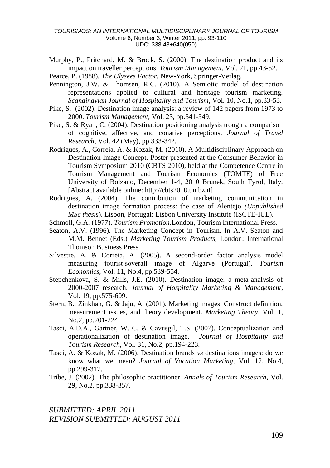#### *TOURISMOS: AN INTERNATIONAL MULTIDISCIPLINARY JOURNAL OF TOURISM* Volume 6, Number 3, Winter 2011, pp. 93-110 UDC: 338.48+640(050)

- Murphy, P., Pritchard, M. & Brock, S. (2000). The destination product and its impact on traveller perceptions. *Tourism Management*, Vol. 21, pp.43-52.
- Pearce, P. (1988). *The Ulysees Factor.* New-York, Springer-Verlag.
- Pennington, J.W. & Thomsen, R.C. (2010). A Semiotic model of destination representations applied to cultural and heritage tourism marketing. *Scandinavian Journal of Hospitality and Tourism*, Vol. 10, No.1, pp.33-53.
- Pike, S. (2002). Destination image analysis: a review of 142 papers from 1973 to 2000. *Tourism Management*, Vol. 23, pp.541-549.
- Pike, S. & Ryan, C. (2004). Destination positioning analysis trough a comparison of cognitive, affective, and conative perceptions. *Journal of Travel Research*, Vol. 42 (May), pp.333-342.
- Rodrigues, A., Correia, A. & Kozak, M. (2010). A Multidisciplinary Approach on Destination Image Concept. Poster presented at the Consumer Behavior in Tourism Symposium 2010 (CBTS 2010), held at the Competence Centre in Tourism Management and Tourism Economics (TOMTE) of Free University of Bolzano, December 1-4, 2010 Brunek, South Tyrol, Italy. [Abstract available online: http://cbts2010.unibz.it]
- Rodrigues, A. (2004). The contribution of marketing communication in destination image formation process: the case of Alentejo *(Unpublished MSc thesis*). Lisbon, Portugal: Lisbon University Institute (ISCTE-IUL).
- Schmoll, G.A. (1977). *Tourism Promotion.*London, Tourism International Press.
- Seaton, A.V. (1996). The Marketing Concept in Tourism. In A.V. Seaton and M.M. Bennet (Eds.) *Marketing Tourism Products,* London: International Thomson Business Press.
- Silvestre, A. & Correia, A. (2005). A second-order factor analysis model measuring tourist´soverall image of Algarve (Portugal). *Tourism Economics,* Vol. 11, No.4, pp.539-554.
- Stepchenkova, S. & Mills, J.E. (2010). Destination image: a meta-analysis of 2000-2007 research*. Journal of Hospitality Marketing & Management*, Vol. 19, pp.575-609.
- Stern, B., Zinkhan, G. & Jaju, A. (2001). Marketing images. Construct definition, measurement issues, and theory development. *Marketing Theory*, Vol. 1, No.2, pp.201-224.
- Tasci, A.D.A., Gartner, W. C. & Cavusgil, T.S. (2007). Conceptualization and operationalization of destination image. *Journal of Hospitality and Tourism Research,* Vol. 31, No.2, pp.194-223.
- Tasci, A. & Kozak, M. (2006). Destination brands *vs* destinations images: do we know what we mean? *Journal of Vacation Marketing*, Vol. 12, No.4, pp.299-317.
- Tribe, J. (2002). The philosophic practitioner. *Annals of Tourism Research,* Vol. 29, No.2, pp.338-357.

*SUBMITTED: APRIL 2011 REVISION SUBMITTED: AUGUST 2011*